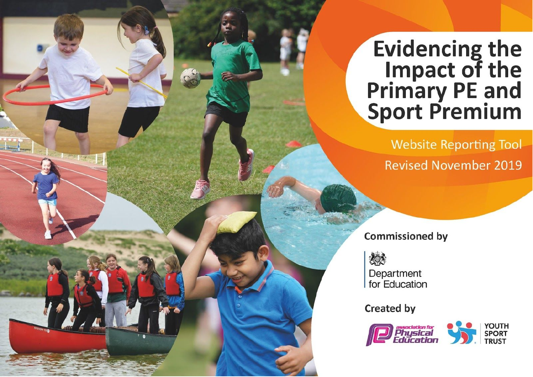## **Evidencing the EVIDENCING**<br>Impact of the<br>Primary PE and<br>Sport Premium

**Website Reporting Tool Revised November 2019** 

**Commissioned by** 

炒 Department for Education

**Created by** 

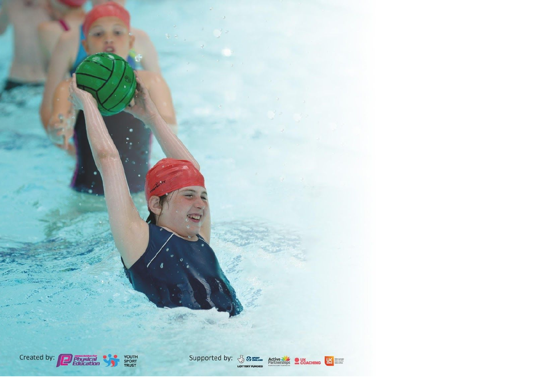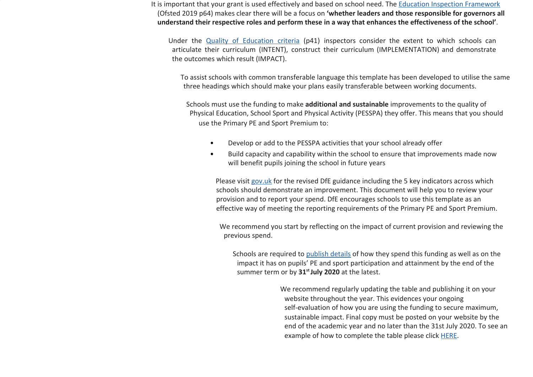It is important that your grant is used effectively and based on school need. The [Education Inspection Framework](https://assets.publishing.service.gov.uk/government/uploads/system/uploads/attachment_data/file/843108/School_inspection_handbook_-_section_5.pdf) (Ofsted 2019 p64) makes clear there will be a focus on **'whether leaders and those responsible for governors all understand their respective roles and perform these in a way that enhances the effectiveness of the school'**.

Under the Quality of [Education](https://assets.publishing.service.gov.uk/government/uploads/system/uploads/attachment_data/file/843108/School_inspection_handbook_-_section_5.pdf) criteria (p41) inspectors consider the extent to which schools can articulate their curriculum (INTENT), construct their curriculum (IMPLEMENTATION) and demonstrate the outcomes which result (IMPACT).

To assist schools with common transferable language this template has been developed to utilise the same three headings which should make your plans easily transferable between working documents.

Schools must use the funding to make **additional and sustainable** improvements to the quality of Physical Education, School Sport and Physical Activity (PESSPA) they offer. This means that you should use the Primary PE and Sport Premium to:

- Develop or add to the PESSPA activities that your school already offer
- Build capacity and capability within the school to ensure that improvements made now will benefit pupils joining the school in future years

Please visit [gov.uk](https://www.gov.uk/guidance/pe-and-sport-premium-for-primary-schools) [f](https://www.gov.uk/guidance/pe-and-sport-premium-for-primary-schools)or the revised DfE guidance including the 5 key indicators across which schools should demonstrate an improvement. This document will help you to review your provision and to report your spend. DfE encourages schools to use this template as an effective way of meeting the reporting requirements of the Primary PE and Sport Premium.

We recommend you start by reflecting on the impact of current provision and reviewing the previous spend.

Schools are required to [publish details](https://www.gov.uk/guidance/what-maintained-schools-must-publish-online#pe-and-sport-premium-for-primary-schools) of how they spend this funding as well as on the impact it has on pupils' PE and sport participation and attainment by the end of the summer term or by **31st July 2020** at the latest.

> We recommend regularly updating the table and publishing it on your website throughout the year. This evidences your ongoing self-evaluation of how you are using the funding to secure maximum, sustainable impact. Final copy must be posted on your website by the end of the academic year and no later than the 31st July 2020. To see an example of how to complete the table please click [HERE.](http://www.afpe.org.uk/physical-education/wp-content/uploads/afPE-Example-Template-Indicator-2018-Final.pdf)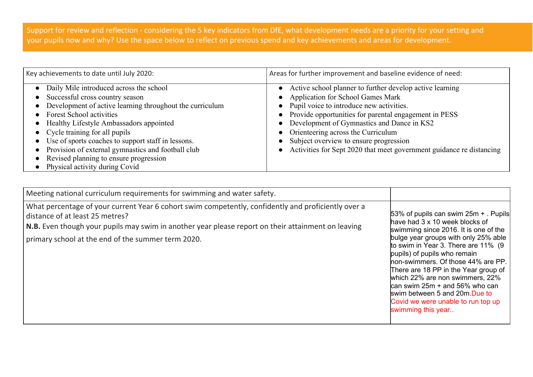Support for review and reflection - considering the 5 key indicators from DfE, what development needs are a priority for your setting and your pupils now and why? Use the space below to reflect on previous spend and key achievements and areas for development.

| Key achievements to date until July 2020:                                                                                                                                                                                                                                                                                                                                                                                                       | Areas for further improvement and baseline evidence of need:                                                                                                                                                                                                                                                                                                                                                                 |
|-------------------------------------------------------------------------------------------------------------------------------------------------------------------------------------------------------------------------------------------------------------------------------------------------------------------------------------------------------------------------------------------------------------------------------------------------|------------------------------------------------------------------------------------------------------------------------------------------------------------------------------------------------------------------------------------------------------------------------------------------------------------------------------------------------------------------------------------------------------------------------------|
| Daily Mile introduced across the school<br>Successful cross country season<br>Development of active learning throughout the curriculum<br><b>Forest School activities</b><br>Healthy Lifestyle Ambassadors appointed<br>• Cycle training for all pupils<br>Use of sports coaches to support staff in lessons.<br>Provision of external gymnastics and football club<br>Revised planning to ensure progression<br>Physical activity during Covid | Active school planner to further develop active learning<br><b>Application for School Games Mark</b><br>Pupil voice to introduce new activities.<br>$\bullet$<br>Provide opportunities for parental engagement in PESS<br>Development of Gymnastics and Dance in KS2<br>Orienteering across the Curriculum<br>Subject overview to ensure progression<br>Activities for Sept 2020 that meet government guidance re distancing |

| Meeting national curriculum requirements for swimming and water safety.                                                                                                                                                                                                                                    |                                                                                                                                                                                                                                                                                                                                                                                                                                                                                                |
|------------------------------------------------------------------------------------------------------------------------------------------------------------------------------------------------------------------------------------------------------------------------------------------------------------|------------------------------------------------------------------------------------------------------------------------------------------------------------------------------------------------------------------------------------------------------------------------------------------------------------------------------------------------------------------------------------------------------------------------------------------------------------------------------------------------|
| What percentage of your current Year 6 cohort swim competently, confidently and proficiently over a<br>distance of at least 25 metres?<br>$\vert$ N.B. Even though your pupils may swim in another year please report on their attainment on leaving<br>primary school at the end of the summer term 2020. | $ 53\%$ of pupils can swim $25m +$ . Pupils<br>have had 3 x 10 week blocks of<br>swimming since 2016. It is one of the<br>bulge year groups with only 25% able<br>to swim in Year 3. There are 11% (9<br>pupils) of pupils who remain<br>non-swimmers. Of those 44% are PP.<br>There are 18 PP in the Year group of<br>which 22% are non swimmers, 22%<br>$\alpha$ can swim 25m + and 56% who can<br>swim between 5 and 20m Due to<br>Covid we were unable to run top up<br>swimming this year |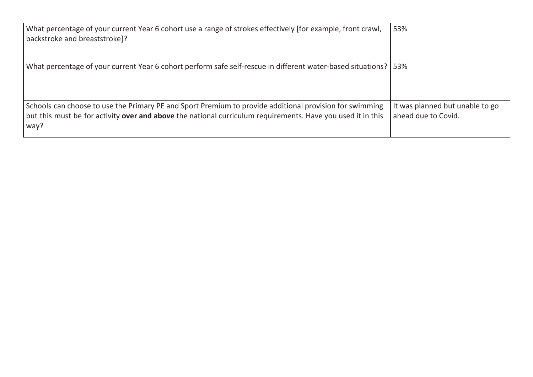| What percentage of your current Year 6 cohort use a range of strokes effectively [for example, front crawl,<br>backstroke and breaststroke]?                                                                                   | 53%                                                    |
|--------------------------------------------------------------------------------------------------------------------------------------------------------------------------------------------------------------------------------|--------------------------------------------------------|
| What percentage of your current Year 6 cohort perform safe self-rescue in different water-based situations?                                                                                                                    | 53%                                                    |
| Schools can choose to use the Primary PE and Sport Premium to provide additional provision for swimming<br>but this must be for activity over and above the national curriculum requirements. Have you used it in this<br>way? | It was planned but unable to go<br>ahead due to Covid. |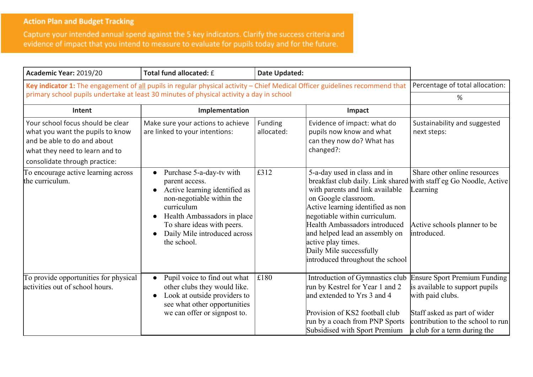## **Action Plan and Budget Tracking**

Capture your intended annual spend against the 5 key indicators. Clarify the success criteria and evidence of impact that you intend to measure to evaluate for pupils today and for the future.

| Academic Year: 2019/20                                                                                                                                                  | Total fund allocated: £                                                                                                                                                                                                                                                   | <b>Date Updated:</b>  |                                                                                                                                                                                                                                                                                                                                                            |                                                                                                                                                                                                |
|-------------------------------------------------------------------------------------------------------------------------------------------------------------------------|---------------------------------------------------------------------------------------------------------------------------------------------------------------------------------------------------------------------------------------------------------------------------|-----------------------|------------------------------------------------------------------------------------------------------------------------------------------------------------------------------------------------------------------------------------------------------------------------------------------------------------------------------------------------------------|------------------------------------------------------------------------------------------------------------------------------------------------------------------------------------------------|
| Key indicator 1: The engagement of all pupils in regular physical activity - Chief Medical Officer guidelines recommend that                                            | primary school pupils undertake at least 30 minutes of physical activity a day in school                                                                                                                                                                                  |                       |                                                                                                                                                                                                                                                                                                                                                            | Percentage of total allocation:<br>%                                                                                                                                                           |
| Intent                                                                                                                                                                  | Implementation                                                                                                                                                                                                                                                            |                       | Impact                                                                                                                                                                                                                                                                                                                                                     |                                                                                                                                                                                                |
|                                                                                                                                                                         |                                                                                                                                                                                                                                                                           |                       |                                                                                                                                                                                                                                                                                                                                                            |                                                                                                                                                                                                |
| Your school focus should be clear<br>what you want the pupils to know<br>and be able to do and about<br>what they need to learn and to<br>consolidate through practice: | Make sure your actions to achieve<br>are linked to your intentions:                                                                                                                                                                                                       | Funding<br>allocated: | Evidence of impact: what do<br>pupils now know and what<br>can they now do? What has<br>changed?:                                                                                                                                                                                                                                                          | Sustainability and suggested<br>next steps:                                                                                                                                                    |
| To encourage active learning across<br>the curriculum.                                                                                                                  | Purchase 5-a-day-tv with<br>parent access.<br>Active learning identified as<br>$\bullet$<br>non-negotiable within the<br>curriculum<br>Health Ambassadors in place<br>$\bullet$<br>To share ideas with peers.<br>Daily Mile introduced across<br>$\bullet$<br>the school. | £312                  | 5-a-day used in class and in<br>breakfast club daily. Link shared<br>with parents and link available<br>on Google classroom.<br>Active learning identified as non<br>negotiable within curriculum.<br>Health Ambassadors introduced<br>and helped lead an assembly on<br>active play times.<br>Daily Mile successfully<br>introduced throughout the school | Share other online resources<br>with staff eg Go Noodle, Active<br>Learning<br>Active schools planner to be<br>introduced.                                                                     |
| To provide opportunities for physical<br>activities out of school hours.                                                                                                | Pupil voice to find out what<br>other clubs they would like.<br>Look at outside providers to<br>$\bullet$<br>see what other opportunities<br>we can offer or signpost to.                                                                                                 | £180                  | Introduction of Gymnastics club<br>run by Kestrel for Year 1 and 2<br>and extended to Yrs 3 and 4<br>Provision of KS2 football club<br>run by a coach from PNP Sports<br>Subsidised with Sport Premium                                                                                                                                                     | <b>Ensure Sport Premium Funding</b><br>is available to support pupils<br>with paid clubs.<br>Staff asked as part of wider<br>contribution to the school to run<br>a club for a term during the |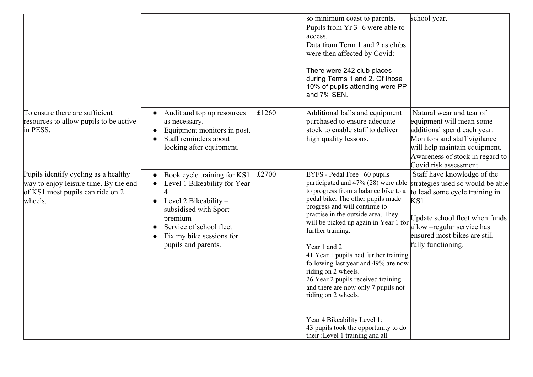|                                                                                                                              |                                                                                                                                                                                                                                                   |       | so minimum coast to parents.<br>Pupils from Yr 3 -6 were able to<br>access.<br>Data from Term 1 and 2 as clubs<br>were then affected by Covid:<br>There were 242 club places<br>during Terms 1 and 2. Of those<br>10% of pupils attending were PP<br>and 7% SEN.                                                                                                                                                                                                                                                                                                                                                          | school year.                                                                                                                                                                                                                   |
|------------------------------------------------------------------------------------------------------------------------------|---------------------------------------------------------------------------------------------------------------------------------------------------------------------------------------------------------------------------------------------------|-------|---------------------------------------------------------------------------------------------------------------------------------------------------------------------------------------------------------------------------------------------------------------------------------------------------------------------------------------------------------------------------------------------------------------------------------------------------------------------------------------------------------------------------------------------------------------------------------------------------------------------------|--------------------------------------------------------------------------------------------------------------------------------------------------------------------------------------------------------------------------------|
| To ensure there are sufficient<br>resources to allow pupils to be active<br>in PESS.                                         | Audit and top up resources<br>as necessary.<br>Equipment monitors in post.<br>Staff reminders about<br>looking after equipment.                                                                                                                   | £1260 | Additional balls and equipment<br>purchased to ensure adequate<br>stock to enable staff to deliver<br>high quality lessons.                                                                                                                                                                                                                                                                                                                                                                                                                                                                                               | Natural wear and tear of<br>equipment will mean some<br>additional spend each year.<br>Monitors and staff vigilance<br>will help maintain equipment.<br>Awareness of stock in regard to<br>Covid risk assessment.              |
| Pupils identify cycling as a healthy<br>way to enjoy leisure time. By the end<br>of KS1 most pupils can ride on 2<br>wheels. | Book cycle training for KS1<br>Level 1 Bikeability for Year<br>$\overline{\mathcal{L}}$<br>Level 2 Bikeability $-$<br>$\bullet$<br>subsidised with Sport<br>premium<br>Service of school fleet<br>Fix my bike sessions for<br>pupils and parents. | £2700 | EYFS - Pedal Free 60 pupils<br>participated and 47% (28) were able<br>to progress from a balance bike to a<br>pedal bike. The other pupils made<br>progress and will continue to<br>practise in the outside area. They<br>will be picked up again in Year 1 for<br>further training.<br>Year 1 and 2<br>41 Year 1 pupils had further training<br>following last year and 49% are now<br>riding on 2 wheels.<br>26 Year 2 pupils received training<br>and there are now only 7 pupils not<br>riding on 2 wheels.<br>Year 4 Bikeability Level 1:<br>43 pupils took the opportunity to do<br>their :Level 1 training and all | Staff have knowledge of the<br>strategies used so would be able<br>to lead some cycle training in<br>KS1<br>Update school fleet when funds<br>allow -regular service has<br>ensured most bikes are still<br>fully functioning. |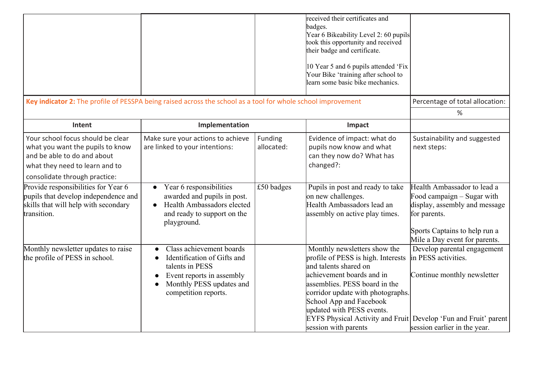|                                                                                                                                                                         |                                                                                                                                                                          |                       | received their certificates and<br>badges.<br>Year 6 Bikeability Level 2: 60 pupils<br>took this opportunity and received<br>their badge and certificate.<br>10 Year 5 and 6 pupils attended 'Fix<br>Your Bike 'training after school to<br>learn some basic bike mechanics.                                                                      |                                                                                                                                                                              |
|-------------------------------------------------------------------------------------------------------------------------------------------------------------------------|--------------------------------------------------------------------------------------------------------------------------------------------------------------------------|-----------------------|---------------------------------------------------------------------------------------------------------------------------------------------------------------------------------------------------------------------------------------------------------------------------------------------------------------------------------------------------|------------------------------------------------------------------------------------------------------------------------------------------------------------------------------|
| Key indicator 2: The profile of PESSPA being raised across the school as a tool for whole school improvement                                                            |                                                                                                                                                                          |                       |                                                                                                                                                                                                                                                                                                                                                   | Percentage of total allocation:                                                                                                                                              |
|                                                                                                                                                                         |                                                                                                                                                                          |                       |                                                                                                                                                                                                                                                                                                                                                   | ℅                                                                                                                                                                            |
| Intent                                                                                                                                                                  | Implementation                                                                                                                                                           |                       | Impact                                                                                                                                                                                                                                                                                                                                            |                                                                                                                                                                              |
| Your school focus should be clear<br>what you want the pupils to know<br>and be able to do and about<br>what they need to learn and to<br>consolidate through practice: | Make sure your actions to achieve<br>are linked to your intentions:                                                                                                      | Funding<br>allocated: | Evidence of impact: what do<br>pupils now know and what<br>can they now do? What has<br>changed?:                                                                                                                                                                                                                                                 | Sustainability and suggested<br>next steps:                                                                                                                                  |
| Provide responsibilities for Year 6<br>pupils that develop independence and<br>skills that will help with secondary<br>transition.                                      | Year 6 responsibilities<br>$\bullet$<br>awarded and pupils in post.<br>Health Ambassadors elected<br>$\bullet$<br>and ready to support on the<br>playground.             | £50 badges            | Pupils in post and ready to take<br>on new challenges.<br>Health Ambassadors lead an<br>assembly on active play times.                                                                                                                                                                                                                            | Health Ambassador to lead a<br>Food campaign – Sugar with<br>display, assembly and message<br>for parents.<br>Sports Captains to help run a<br>Mile a Day event for parents. |
| Monthly newsletter updates to raise<br>the profile of PESS in school.                                                                                                   | Class achievement boards<br>Identification of Gifts and<br>talents in PESS<br>Event reports in assembly<br>Monthly PESS updates and<br>$\bullet$<br>competition reports. |                       | Monthly newsletters show the<br>profile of PESS is high. Interests<br>and talents shared on<br>achievement boards and in<br>assemblies. PESS board in the<br>corridor update with photographs.<br>School App and Facebook<br>updated with PESS events.<br>EYFS Physical Activity and Fruit Develop 'Fun and Fruit' parent<br>session with parents | Develop parental engagement<br>in PESS activities.<br>Continue monthly newsletter<br>session earlier in the year.                                                            |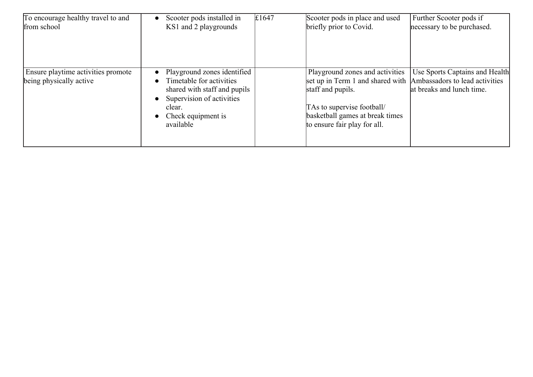| To encourage healthy travel to and                            | Scooter pods installed in                                                                                                                                                                                | £1647 | Scooter pods in place and used                                                                                                                                                                                           | Further Scooter pods if                                     |
|---------------------------------------------------------------|----------------------------------------------------------------------------------------------------------------------------------------------------------------------------------------------------------|-------|--------------------------------------------------------------------------------------------------------------------------------------------------------------------------------------------------------------------------|-------------------------------------------------------------|
| from school                                                   | KS1 and 2 playgrounds                                                                                                                                                                                    |       | briefly prior to Covid.                                                                                                                                                                                                  | necessary to be purchased.                                  |
| Ensure playtime activities promote<br>being physically active | Playground zones identified<br>Timetable for activities<br>$\bullet$<br>shared with staff and pupils<br>Supervision of activities<br>$\bullet$<br>clear.<br>Check equipment is<br>$\bullet$<br>available |       | Playground zones and activities<br>set up in Term 1 and shared with Ambassadors to lead activities<br>staff and pupils.<br>TAs to supervise football/<br>basketball games at break times<br>to ensure fair play for all. | Use Sports Captains and Health<br>at breaks and lunch time. |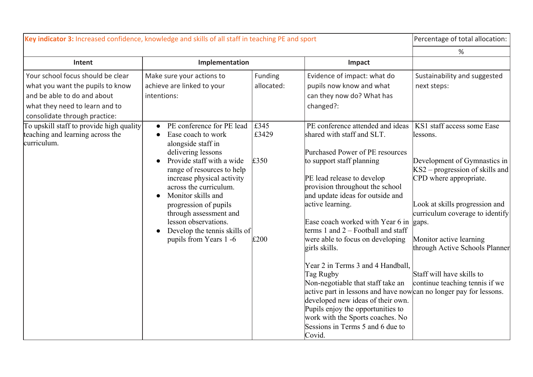|                                                                                                                                                                                                                                                                                                                                                                                       |                       |                                                                                                                                                                                                                                                                                                                                                                                                                                                                                                                                                           | Percentage of total allocation:                                                                                                                                                                                                                                                                                                                 |
|---------------------------------------------------------------------------------------------------------------------------------------------------------------------------------------------------------------------------------------------------------------------------------------------------------------------------------------------------------------------------------------|-----------------------|-----------------------------------------------------------------------------------------------------------------------------------------------------------------------------------------------------------------------------------------------------------------------------------------------------------------------------------------------------------------------------------------------------------------------------------------------------------------------------------------------------------------------------------------------------------|-------------------------------------------------------------------------------------------------------------------------------------------------------------------------------------------------------------------------------------------------------------------------------------------------------------------------------------------------|
|                                                                                                                                                                                                                                                                                                                                                                                       |                       |                                                                                                                                                                                                                                                                                                                                                                                                                                                                                                                                                           | %                                                                                                                                                                                                                                                                                                                                               |
| Implementation                                                                                                                                                                                                                                                                                                                                                                        |                       | Impact                                                                                                                                                                                                                                                                                                                                                                                                                                                                                                                                                    |                                                                                                                                                                                                                                                                                                                                                 |
| Make sure your actions to<br>achieve are linked to your<br>intentions:                                                                                                                                                                                                                                                                                                                | Funding<br>allocated: | Evidence of impact: what do<br>pupils now know and what<br>can they now do? What has<br>changed?:                                                                                                                                                                                                                                                                                                                                                                                                                                                         | Sustainability and suggested<br>next steps:                                                                                                                                                                                                                                                                                                     |
| PE conference for PE lead<br>Ease coach to work<br>alongside staff in<br>delivering lessons<br>Provide staff with a wide<br>range of resources to help<br>increase physical activity<br>across the curriculum.<br>Monitor skills and<br>progression of pupils<br>through assessment and<br>lesson observations.<br>Develop the tennis skills of<br>$\bullet$<br>pupils from Years 1-6 | £345<br>£3429         | PE conference attended and ideas<br>shared with staff and SLT.<br>Purchased Power of PE resources<br>to support staff planning<br>PE lead release to develop<br>provision throughout the school<br>and update ideas for outside and<br>active learning.<br>Ease coach worked with Year 6 in<br>terms 1 and $2 -$ Football and staff<br>were able to focus on developing<br>girls skills.<br>Year 2 in Terms 3 and 4 Handball,<br>Tag Rugby<br>Non-negotiable that staff take an<br>developed new ideas of their own.<br>Pupils enjoy the opportunities to | KS1 staff access some Ease<br>lessons.<br>Development of Gymnastics in<br>$KS2$ – progression of skills and<br>CPD where appropriate.<br>Look at skills progression and<br>curriculum coverage to identify<br>gaps.<br>Monitor active learning<br>through Active Schools Planner<br>Staff will have skills to<br>continue teaching tennis if we |
|                                                                                                                                                                                                                                                                                                                                                                                       |                       | £350<br>£200                                                                                                                                                                                                                                                                                                                                                                                                                                                                                                                                              | Key indicator 3: Increased confidence, knowledge and skills of all staff in teaching PE and sport<br>active part in lessons and have now can no longer pay for lessons.<br>work with the Sports coaches. No<br>Sessions in Terms 5 and 6 due to<br>Covid.                                                                                       |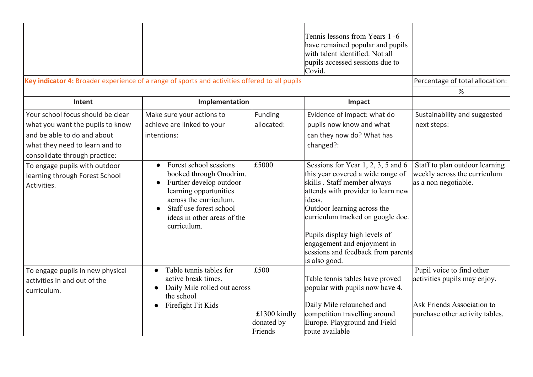| Key indicator 4: Broader experience of a range of sports and activities offered to all pupils                                                                           |                                                                                                                                                                                                                        |                                               | Tennis lessons from Years 1-6<br>have remained popular and pupils<br>with talent identified. Not all<br>pupils accessed sessions due to<br>Covid.                                                                                                                                                                                                 | Percentage of total allocation:                                                                                            |
|-------------------------------------------------------------------------------------------------------------------------------------------------------------------------|------------------------------------------------------------------------------------------------------------------------------------------------------------------------------------------------------------------------|-----------------------------------------------|---------------------------------------------------------------------------------------------------------------------------------------------------------------------------------------------------------------------------------------------------------------------------------------------------------------------------------------------------|----------------------------------------------------------------------------------------------------------------------------|
|                                                                                                                                                                         |                                                                                                                                                                                                                        |                                               |                                                                                                                                                                                                                                                                                                                                                   | %                                                                                                                          |
| Intent                                                                                                                                                                  | Implementation                                                                                                                                                                                                         |                                               | Impact                                                                                                                                                                                                                                                                                                                                            |                                                                                                                            |
| Your school focus should be clear<br>what you want the pupils to know<br>and be able to do and about<br>what they need to learn and to<br>consolidate through practice: | Make sure your actions to<br>achieve are linked to your<br>intentions:                                                                                                                                                 | Funding<br>allocated:                         | Evidence of impact: what do<br>pupils now know and what<br>can they now do? What has<br>changed?:                                                                                                                                                                                                                                                 | Sustainability and suggested<br>next steps:                                                                                |
| To engage pupils with outdoor<br>learning through Forest School<br>Activities.                                                                                          | Forest school sessions<br>booked through Onodrim.<br>Further develop outdoor<br>$\bullet$<br>learning opportunities<br>across the curriculum.<br>Staff use forest school<br>ideas in other areas of the<br>curriculum. | £5000                                         | Sessions for Year 1, 2, 3, 5 and 6<br>this year covered a wide range of<br>skills. Staff member always<br>attends with provider to learn new<br>ideas.<br>Outdoor learning across the<br>curriculum tracked on google doc.<br>Pupils display high levels of<br>engagement and enjoyment in<br>sessions and feedback from parents<br>is also good. | Staff to plan outdoor learning<br>weekly across the curriculum<br>as a non negotiable.                                     |
| To engage pupils in new physical<br>activities in and out of the<br>curriculum.                                                                                         | Table tennis tables for<br>$\bullet$<br>active break times.<br>Daily Mile rolled out across<br>$\bullet$<br>the school<br>Firefight Fit Kids<br>$\bullet$                                                              | £500<br>£1300 kindly<br>donated by<br>Friends | Table tennis tables have proved<br>popular with pupils now have 4.<br>Daily Mile relaunched and<br>competition travelling around<br>Europe. Playground and Field<br>route available                                                                                                                                                               | Pupil voice to find other<br>activities pupils may enjoy.<br>Ask Friends Association to<br>purchase other activity tables. |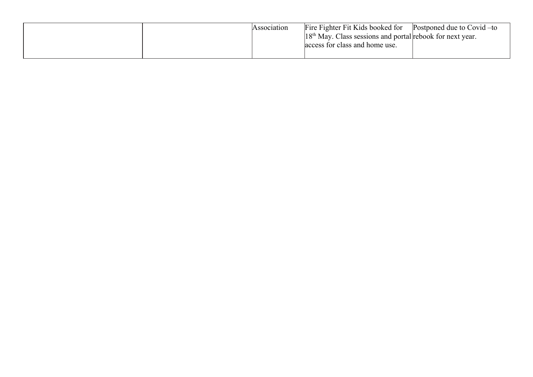| Association | Fire Fighter Fit Kids booked for                            | Postponed due to Covid – to |
|-------------|-------------------------------------------------------------|-----------------------------|
|             | $18th$ May. Class sessions and portal rebook for next year. |                             |
|             | access for class and home use.                              |                             |
|             |                                                             |                             |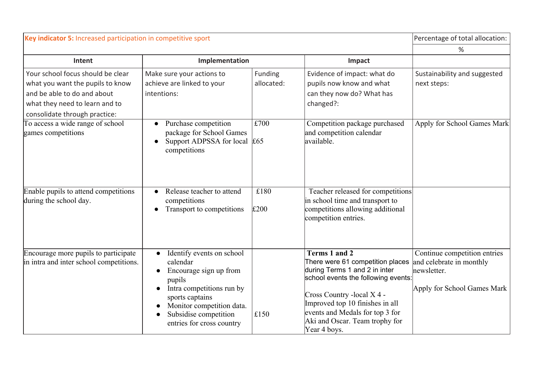| Key indicator 5: Increased participation in competitive sport                                                                                                           |                                                                                                                                                                                                                                        |                       |                                                                                                                                                                                                                                                                                         | Percentage of total allocation:                                                                        |
|-------------------------------------------------------------------------------------------------------------------------------------------------------------------------|----------------------------------------------------------------------------------------------------------------------------------------------------------------------------------------------------------------------------------------|-----------------------|-----------------------------------------------------------------------------------------------------------------------------------------------------------------------------------------------------------------------------------------------------------------------------------------|--------------------------------------------------------------------------------------------------------|
|                                                                                                                                                                         |                                                                                                                                                                                                                                        |                       |                                                                                                                                                                                                                                                                                         | %                                                                                                      |
| Intent                                                                                                                                                                  | Implementation                                                                                                                                                                                                                         |                       | Impact                                                                                                                                                                                                                                                                                  |                                                                                                        |
| Your school focus should be clear<br>what you want the pupils to know<br>and be able to do and about<br>what they need to learn and to<br>consolidate through practice: | Make sure your actions to<br>achieve are linked to your<br>intentions:                                                                                                                                                                 | Funding<br>allocated: | Evidence of impact: what do<br>pupils now know and what<br>can they now do? What has<br>changed?:                                                                                                                                                                                       | Sustainability and suggested<br>next steps:                                                            |
| To access a wide range of school<br>games competitions                                                                                                                  | Purchase competition<br>$\bullet$<br>package for School Games<br>Support ADPSSA for local<br>$\bullet$<br>competitions                                                                                                                 | £700<br>£65           | Competition package purchased<br>and competition calendar<br>available.                                                                                                                                                                                                                 | Apply for School Games Mark                                                                            |
| Enable pupils to attend competitions<br>during the school day.                                                                                                          | Release teacher to attend<br>competitions<br>Transport to competitions<br>$\bullet$                                                                                                                                                    | £180<br>£200          | Teacher released for competitions<br>in school time and transport to<br>competitions allowing additional<br>competition entries.                                                                                                                                                        |                                                                                                        |
| Encourage more pupils to participate<br>in intra and inter school competitions.                                                                                         | Identify events on school<br>$\bullet$<br>calendar<br>Encourage sign up from<br>$\bullet$<br>pupils<br>Intra competitions run by<br>sports captains<br>Monitor competition data.<br>Subsidise competition<br>entries for cross country | $\vert$ £150          | <b>Terms 1 and 2</b><br>There were 61 competition places<br>during Terms 1 and 2 in inter<br>school events the following events:<br>Cross Country - local X 4 -<br>Improved top 10 finishes in all<br>events and Medals for top 3 for<br>Aki and Oscar. Team trophy for<br>Year 4 boys. | Continue competition entries<br>and celebrate in monthly<br>newsletter.<br>Apply for School Games Mark |